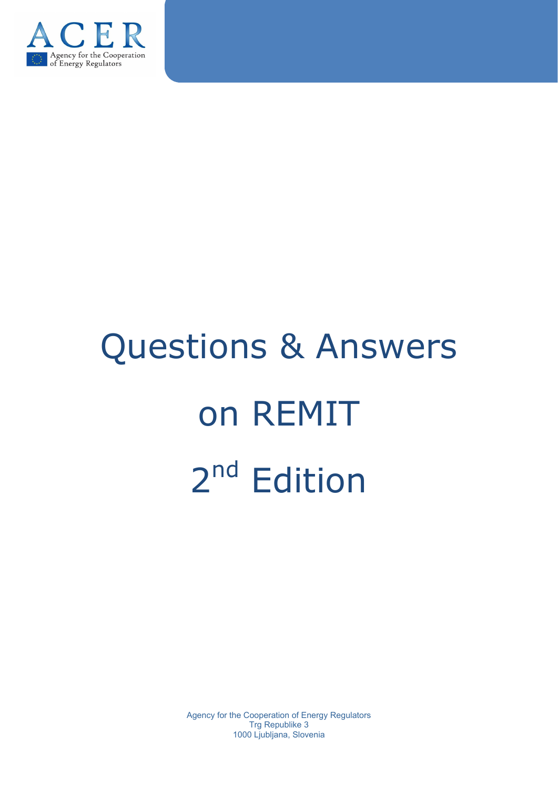

# Questions & Answers on REMIT 2<sup>nd</sup> Edition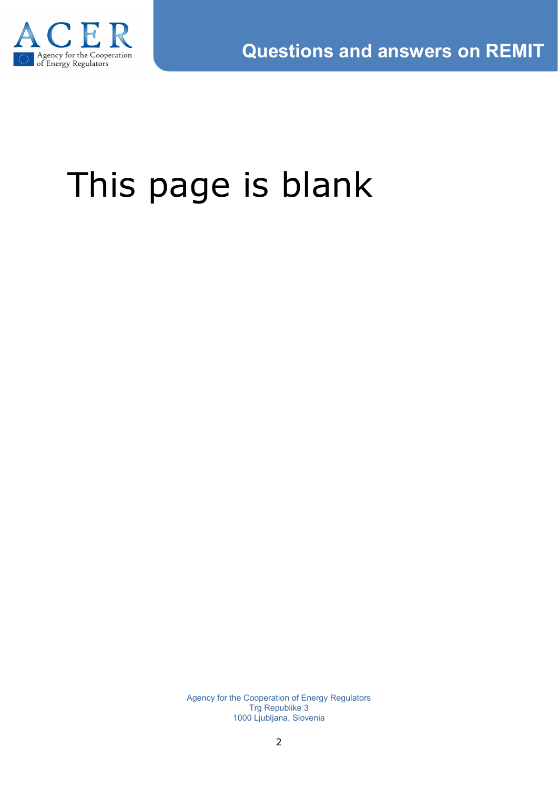

# This page is blank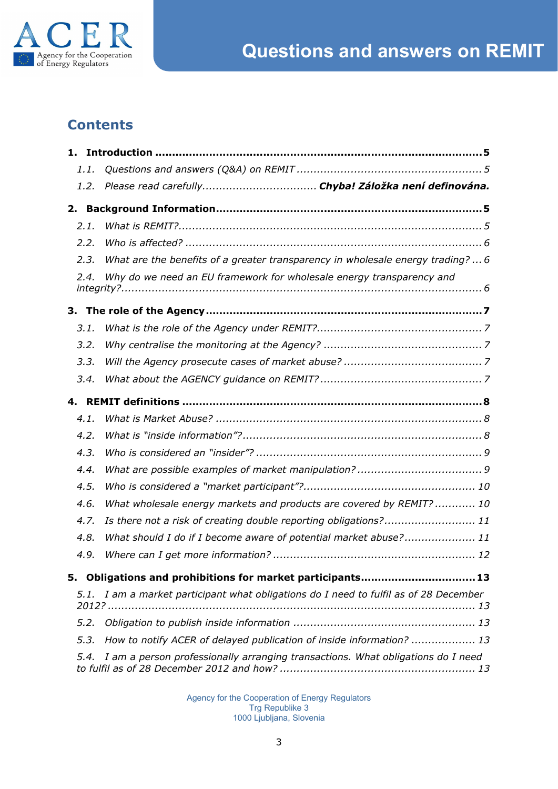

# **Contents**

| 1.   |                                                                                  |  |  |
|------|----------------------------------------------------------------------------------|--|--|
| 1.1. |                                                                                  |  |  |
| 1.2. |                                                                                  |  |  |
| 2.   |                                                                                  |  |  |
| 2.1. |                                                                                  |  |  |
| 2.2. |                                                                                  |  |  |
| 2.3. | What are the benefits of a greater transparency in wholesale energy trading?6    |  |  |
| 2.4. | Why do we need an EU framework for wholesale energy transparency and             |  |  |
| 3.   |                                                                                  |  |  |
| 3.1. |                                                                                  |  |  |
| 3.2. |                                                                                  |  |  |
| 3.3. |                                                                                  |  |  |
| 3.4. |                                                                                  |  |  |
| 4.   |                                                                                  |  |  |
| 4.1. |                                                                                  |  |  |
| 4.2. |                                                                                  |  |  |
| 4.3. |                                                                                  |  |  |
| 4.4. |                                                                                  |  |  |
| 4.5. |                                                                                  |  |  |
| 4.6. | What wholesale energy markets and products are covered by REMIT?  10             |  |  |
| 4.7. | Is there not a risk of creating double reporting obligations? 11                 |  |  |
| 4.8. | What should I do if I become aware of potential market abuse? 11                 |  |  |
| 4.9. |                                                                                  |  |  |
| 5.   | Obligations and prohibitions for market participants13                           |  |  |
| 5.1. | I am a market participant what obligations do I need to fulfil as of 28 December |  |  |
| 5.2. |                                                                                  |  |  |
| 5.3. | How to notify ACER of delayed publication of inside information?  13             |  |  |
| 5.4. | I am a person professionally arranging transactions. What obligations do I need  |  |  |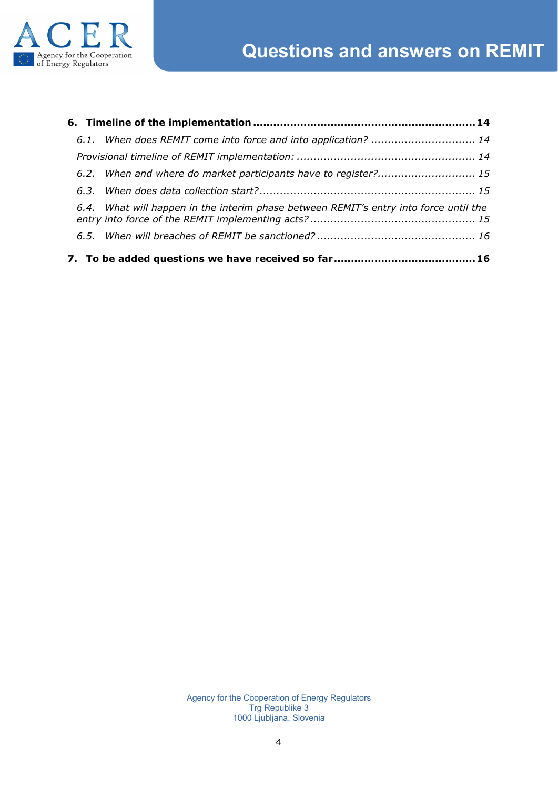



| 6.2. When and where do market participants have to register? 15                       |  |
|---------------------------------------------------------------------------------------|--|
|                                                                                       |  |
| 6.4. What will happen in the interim phase between REMIT's entry into force until the |  |
|                                                                                       |  |
|                                                                                       |  |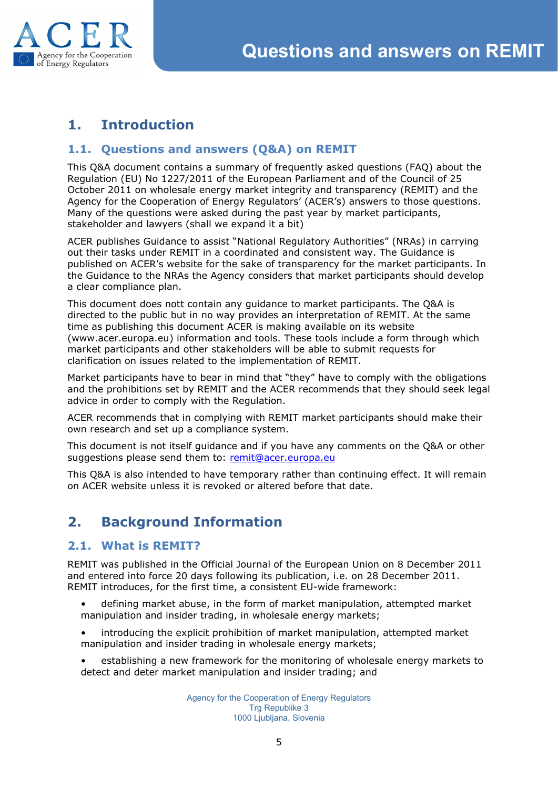

# <span id="page-4-0"></span>**1. Introduction**

#### <span id="page-4-1"></span>**1.1. Questions and answers (Q&A) on REMIT**

This Q&A document contains a summary of frequently asked questions (FAQ) about the Regulation (EU) No 1227/2011 of the European Parliament and of the Council of 25 October 2011 on wholesale energy market integrity and transparency (REMIT) and the Agency for the Cooperation of Energy Regulators' (ACER's) answers to those questions. Many of the questions were asked during the past year by market participants, stakeholder and lawyers (shall we expand it a bit)

ACER publishes Guidance to assist "National Regulatory Authorities" (NRAs) in carrying out their tasks under REMIT in a coordinated and consistent way. The Guidance is published on ACER's website for the sake of transparency for the market participants. In the Guidance to the NRAs the Agency considers that market participants should develop a clear compliance plan.

This document does nott contain any guidance to market participants. The Q&A is directed to the public but in no way provides an interpretation of REMIT. At the same time as publishing this document ACER is making available on its website (www.acer.europa.eu) information and tools. These tools include a form through which market participants and other stakeholders will be able to submit requests for clarification on issues related to the implementation of REMIT.

Market participants have to bear in mind that "they" have to comply with the obligations and the prohibitions set by REMIT and the ACER recommends that they should seek legal advice in order to comply with the Regulation.

ACER recommends that in complying with REMIT market participants should make their own research and set up a compliance system.

This document is not itself guidance and if you have any comments on the Q&A or other suggestions please send them to: [remit@acer.europa.eu](mailto:remit@acer.europa.eu)

This Q&A is also intended to have temporary rather than continuing effect. It will remain on ACER website unless it is revoked or altered before that date.

# **2. Background Information**

#### **2.1. What is REMIT?**

REMIT was published in the Official Journal of the European Union on 8 December 2011 and entered into force 20 days following its publication, i.e. on 28 December 2011. REMIT introduces, for the first time, a consistent EU-wide framework:

- <span id="page-4-3"></span><span id="page-4-2"></span>• defining market abuse, in the form of market manipulation, attempted market manipulation and insider trading, in wholesale energy markets;
- introducing the explicit prohibition of market manipulation, attempted market manipulation and insider trading in wholesale energy markets;
- establishing a new framework for the monitoring of wholesale energy markets to detect and deter market manipulation and insider trading; and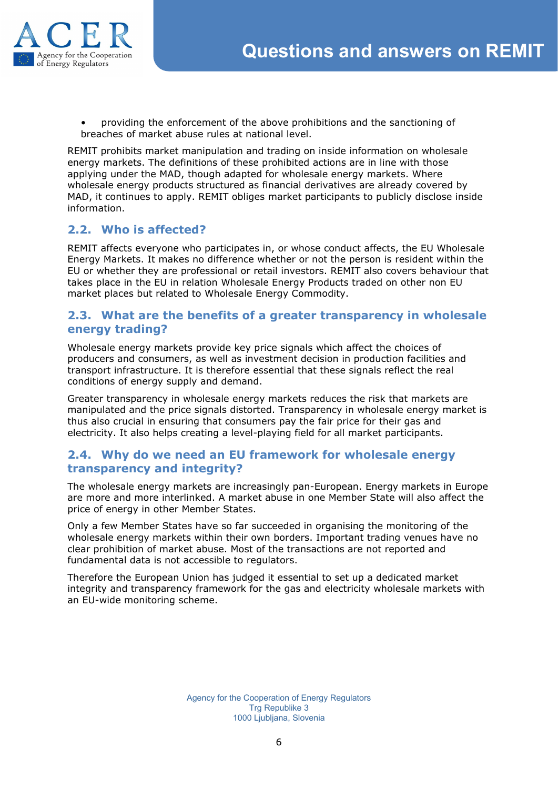

<span id="page-5-0"></span>• providing the enforcement of the above prohibitions and the sanctioning of breaches of market abuse rules at national level.

REMIT prohibits market manipulation and trading on inside information on wholesale energy markets. The definitions of these prohibited actions are in line with those applying under the MAD, though adapted for wholesale energy markets. Where wholesale energy products structured as financial derivatives are already covered by MAD, it continues to apply. REMIT obliges market participants to publicly disclose inside information.

# **2.2. Who is affected?**

REMIT affects everyone who participates in, or whose conduct affects, the EU Wholesale Energy Markets. It makes no difference whether or not the person is resident within the EU or whether they are professional or retail investors. REMIT also covers behaviour that takes place in the EU in relation Wholesale Energy Products traded on other non EU market places but related to Wholesale Energy Commodity.

#### <span id="page-5-1"></span>**2.3. What are the benefits of a greater transparency in wholesale energy trading?**

Wholesale energy markets provide key price signals which affect the choices of producers and consumers, as well as investment decision in production facilities and transport infrastructure. It is therefore essential that these signals reflect the real conditions of energy supply and demand.

Greater transparency in wholesale energy markets reduces the risk that markets are manipulated and the price signals distorted. Transparency in wholesale energy market is thus also crucial in ensuring that consumers pay the fair price for their gas and electricity. It also helps creating a level-playing field for all market participants.

#### **2.4. Why do we need an EU framework for wholesale energy transparency and integrity?**

The wholesale energy markets are increasingly pan-European. Energy markets in Europe are more and more interlinked. A market abuse in one Member State will also affect the price of energy in other Member States.

Only a few Member States have so far succeeded in organising the monitoring of the wholesale energy markets within their own borders. Important trading venues have no clear prohibition of market abuse. Most of the transactions are not reported and fundamental data is not accessible to regulators.

Therefore the European Union has judged it essential to set up a dedicated market integrity and transparency framework for the gas and electricity wholesale markets with an EU-wide monitoring scheme.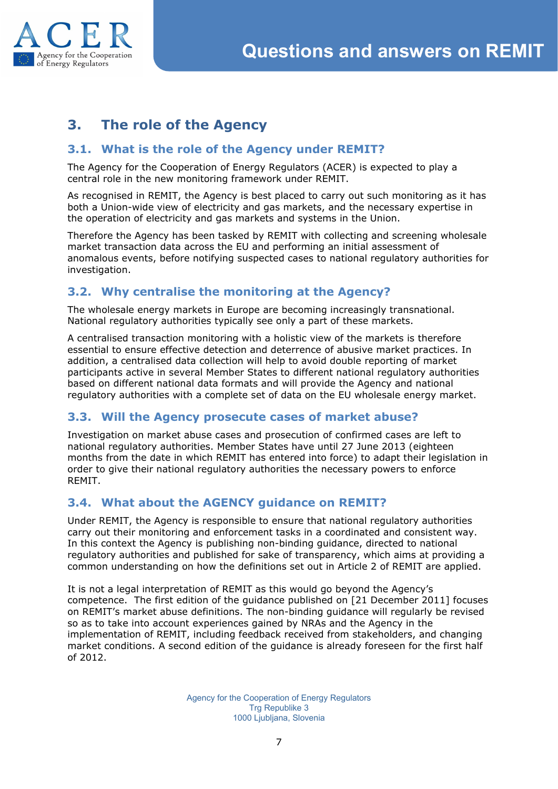

# <span id="page-6-0"></span>**3. The role of the Agency**

#### <span id="page-6-1"></span>**3.1. What is the role of the Agency under REMIT?**

The Agency for the Cooperation of Energy Regulators (ACER) is expected to play a central role in the new monitoring framework under REMIT.

As recognised in REMIT, the Agency is best placed to carry out such monitoring as it has both a Union-wide view of electricity and gas markets, and the necessary expertise in the operation of electricity and gas markets and systems in the Union.

Therefore the Agency has been tasked by REMIT with collecting and screening wholesale market transaction data across the EU and performing an initial assessment of anomalous events, before notifying suspected cases to national regulatory authorities for investigation.

#### <span id="page-6-2"></span>**3.2. Why centralise the monitoring at the Agency?**

The wholesale energy markets in Europe are becoming increasingly transnational. National regulatory authorities typically see only a part of these markets.

A centralised transaction monitoring with a holistic view of the markets is therefore essential to ensure effective detection and deterrence of abusive market practices. In addition, a centralised data collection will help to avoid double reporting of market participants active in several Member States to different national regulatory authorities based on different national data formats and will provide the Agency and national regulatory authorities with a complete set of data on the EU wholesale energy market.

#### <span id="page-6-3"></span>**3.3. Will the Agency prosecute cases of market abuse?**

Investigation on market abuse cases and prosecution of confirmed cases are left to national regulatory authorities. Member States have until 27 June 2013 (eighteen months from the date in which REMIT has entered into force) to adapt their legislation in order to give their national regulatory authorities the necessary powers to enforce REMIT.

#### <span id="page-6-4"></span>**3.4. What about the AGENCY guidance on REMIT?**

Under REMIT, the Agency is responsible to ensure that national regulatory authorities carry out their monitoring and enforcement tasks in a coordinated and consistent way. In this context the Agency is publishing non-binding guidance, directed to national regulatory authorities and published for sake of transparency, which aims at providing a common understanding on how the definitions set out in Article 2 of REMIT are applied.

It is not a legal interpretation of REMIT as this would go beyond the Agency's competence. The first edition of the guidance published on [21 December 2011] focuses on REMIT's market abuse definitions. The non-binding guidance will regularly be revised so as to take into account experiences gained by NRAs and the Agency in the implementation of REMIT, including feedback received from stakeholders, and changing market conditions. A second edition of the guidance is already foreseen for the first half of 2012.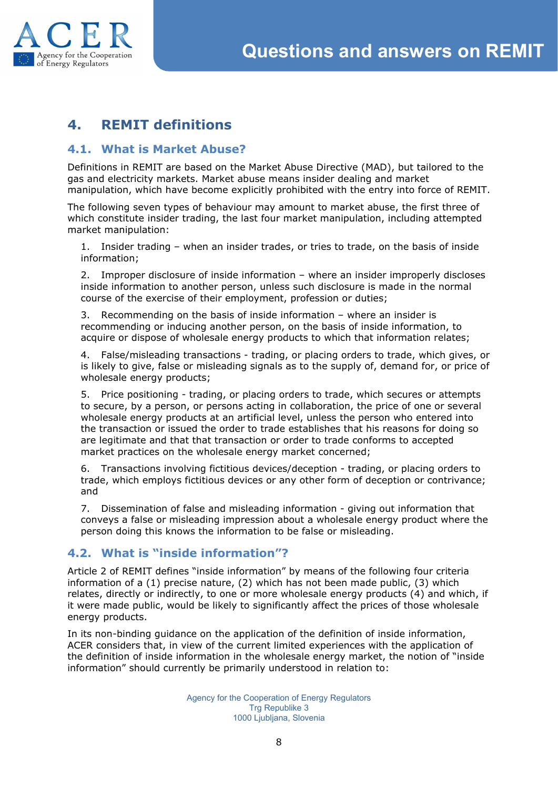<span id="page-7-1"></span><span id="page-7-0"></span>



# **4. REMIT definitions**

#### **4.1. What is Market Abuse?**

Definitions in REMIT are based on the Market Abuse Directive (MAD), but tailored to the gas and electricity markets. Market abuse means insider dealing and market manipulation, which have become explicitly prohibited with the entry into force of REMIT.

The following seven types of behaviour may amount to market abuse, the first three of which constitute insider trading, the last four market manipulation, including attempted market manipulation:

1. Insider trading – when an insider trades, or tries to trade, on the basis of inside information;

2. Improper disclosure of inside information – where an insider improperly discloses inside information to another person, unless such disclosure is made in the normal course of the exercise of their employment, profession or duties;

3. Recommending on the basis of inside information – where an insider is recommending or inducing another person, on the basis of inside information, to acquire or dispose of wholesale energy products to which that information relates;

4. False/misleading transactions - trading, or placing orders to trade, which gives, or is likely to give, false or misleading signals as to the supply of, demand for, or price of wholesale energy products;

5. Price positioning - trading, or placing orders to trade, which secures or attempts to secure, by a person, or persons acting in collaboration, the price of one or several wholesale energy products at an artificial level, unless the person who entered into the transaction or issued the order to trade establishes that his reasons for doing so are legitimate and that that transaction or order to trade conforms to accepted market practices on the wholesale energy market concerned;

6. Transactions involving fictitious devices/deception - trading, or placing orders to trade, which employs fictitious devices or any other form of deception or contrivance; and

<span id="page-7-2"></span>7. Dissemination of false and misleading information - giving out information that conveys a false or misleading impression about a wholesale energy product where the person doing this knows the information to be false or misleading.

#### **4.2. What is "inside information"?**

Article 2 of REMIT defines "inside information" by means of the following four criteria information of a (1) precise nature, (2) which has not been made public, (3) which relates, directly or indirectly, to one or more wholesale energy products (4) and which, if it were made public, would be likely to significantly affect the prices of those wholesale energy products.

In its non-binding guidance on the application of the definition of inside information, ACER considers that, in view of the current limited experiences with the application of the definition of inside information in the wholesale energy market, the notion of "inside information" should currently be primarily understood in relation to: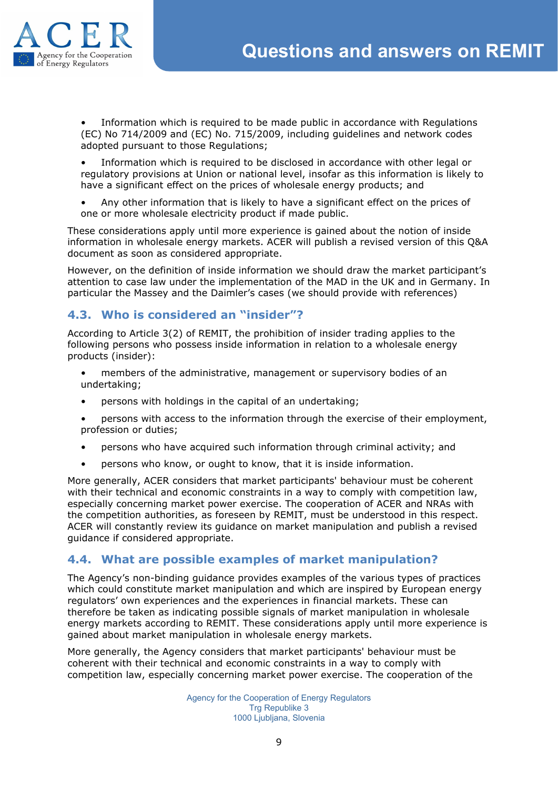

• Information which is required to be made public in accordance with Regulations (EC) No 714/2009 and (EC) No. 715/2009, including guidelines and network codes adopted pursuant to those Regulations;

• Information which is required to be disclosed in accordance with other legal or regulatory provisions at Union or national level, insofar as this information is likely to have a significant effect on the prices of wholesale energy products; and

• Any other information that is likely to have a significant effect on the prices of one or more wholesale electricity product if made public.

These considerations apply until more experience is gained about the notion of inside information in wholesale energy markets. ACER will publish a revised version of this Q&A document as soon as considered appropriate.

However, on the definition of inside information we should draw the market participant's attention to case law under the implementation of the MAD in the UK and in Germany. In particular the Massey and the Daimler's cases (we should provide with references)

#### **4.3. Who is considered an "insider"?**

According to Article 3(2) of REMIT, the prohibition of insider trading applies to the following persons who possess inside information in relation to a wholesale energy products (insider):

- <span id="page-8-0"></span>• members of the administrative, management or supervisory bodies of an undertaking;
- persons with holdings in the capital of an undertaking;
- persons with access to the information through the exercise of their employment, profession or duties;
- persons who have acquired such information through criminal activity; and
- <span id="page-8-1"></span>• persons who know, or ought to know, that it is inside information.

More generally, ACER considers that market participants' behaviour must be coherent with their technical and economic constraints in a way to comply with competition law, especially concerning market power exercise. The cooperation of ACER and NRAs with the competition authorities, as foreseen by REMIT, must be understood in this respect. ACER will constantly review its guidance on market manipulation and publish a revised guidance if considered appropriate.

#### **4.4. What are possible examples of market manipulation?**

The Agency's non-binding guidance provides examples of the various types of practices which could constitute market manipulation and which are inspired by European energy regulators' own experiences and the experiences in financial markets. These can therefore be taken as indicating possible signals of market manipulation in wholesale energy markets according to REMIT. These considerations apply until more experience is gained about market manipulation in wholesale energy markets.

More generally, the Agency considers that market participants' behaviour must be coherent with their technical and economic constraints in a way to comply with competition law, especially concerning market power exercise. The cooperation of the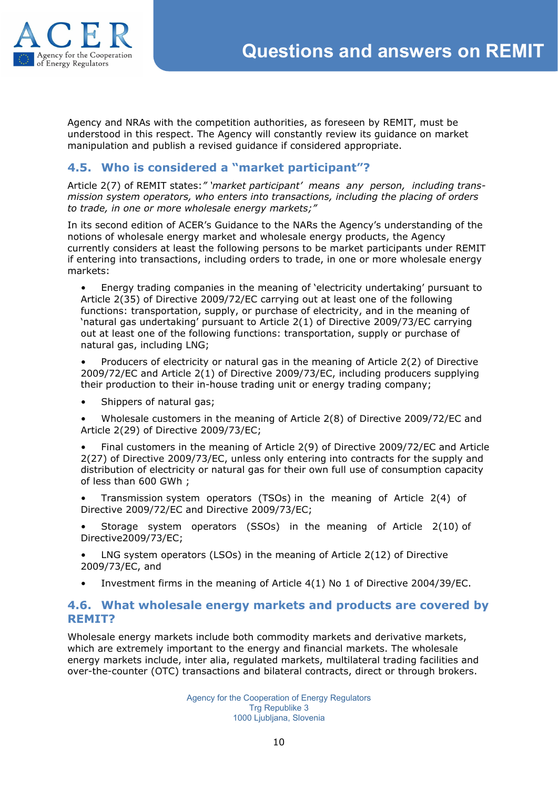

Agency and NRAs with the competition authorities, as foreseen by REMIT, must be understood in this respect. The Agency will constantly review its guidance on market manipulation and publish a revised guidance if considered appropriate.

#### <span id="page-9-0"></span>**4.5. Who is considered a "market participant"?**

Article 2(7) of REMIT states:*" 'market participant' means any person, including transmission system operators, who enters into transactions, including the placing of orders to trade, in one or more wholesale energy markets;"*

In its second edition of ACER's Guidance to the NARs the Agency's understanding of the notions of wholesale energy market and wholesale energy products, the Agency currently considers at least the following persons to be market participants under REMIT if entering into transactions, including orders to trade, in one or more wholesale energy markets:

• Energy trading companies in the meaning of 'electricity undertaking' pursuant to Article 2(35) of Directive 2009/72/EC carrying out at least one of the following functions: transportation, supply, or purchase of electricity, and in the meaning of 'natural gas undertaking' pursuant to Article 2(1) of Directive 2009/73/EC carrying out at least one of the following functions: transportation, supply or purchase of natural gas, including LNG;

• Producers of electricity or natural gas in the meaning of Article 2(2) of Directive 2009/72/EC and Article 2(1) of Directive 2009/73/EC, including producers supplying their production to their in-house trading unit or energy trading company;

• Shippers of natural gas;

• Wholesale customers in the meaning of Article 2(8) of Directive 2009/72/EC and Article 2(29) of Directive 2009/73/EC;

• Final customers in the meaning of Article 2(9) of Directive 2009/72/EC and Article 2(27) of Directive 2009/73/EC, unless only entering into contracts for the supply and distribution of electricity or natural gas for their own full use of consumption capacity of less than 600 GWh ;

• Transmission system operators (TSOs) in the meaning of Article 2(4) of Directive 2009/72/EC and Directive 2009/73/EC;

• Storage system operators (SSOs) in the meaning of Article 2(10) of Directive2009/73/EC;

- LNG system operators (LSOs) in the meaning of Article 2(12) of Directive 2009/73/EC, and
- <span id="page-9-1"></span>• Investment firms in the meaning of Article 4(1) No 1 of Directive 2004/39/EC.

#### **4.6. What wholesale energy markets and products are covered by REMIT?**

Wholesale energy markets include both commodity markets and derivative markets, which are extremely important to the energy and financial markets. The wholesale energy markets include, inter alia, regulated markets, multilateral trading facilities and over-the-counter (OTC) transactions and bilateral contracts, direct or through brokers.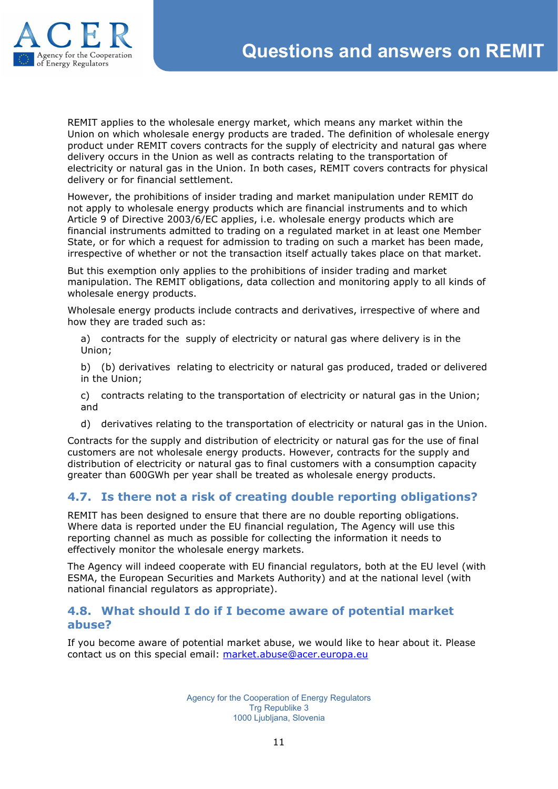

REMIT applies to the wholesale energy market, which means any market within the Union on which wholesale energy products are traded. The definition of wholesale energy product under REMIT covers contracts for the supply of electricity and natural gas where delivery occurs in the Union as well as contracts relating to the transportation of electricity or natural gas in the Union. In both cases, REMIT covers contracts for physical delivery or for financial settlement.

However, the prohibitions of insider trading and market manipulation under REMIT do not apply to wholesale energy products which are financial instruments and to which Article 9 of Directive 2003/6/EC applies, i.e. wholesale energy products which are financial instruments admitted to trading on a regulated market in at least one Member State, or for which a request for admission to trading on such a market has been made, irrespective of whether or not the transaction itself actually takes place on that market.

But this exemption only applies to the prohibitions of insider trading and market manipulation. The REMIT obligations, data collection and monitoring apply to all kinds of wholesale energy products.

Wholesale energy products include contracts and derivatives, irrespective of where and how they are traded such as:

a) contracts for the supply of electricity or natural gas where delivery is in the Union;

b) (b) derivatives relating to electricity or natural gas produced, traded or delivered in the Union;

c) contracts relating to the transportation of electricity or natural gas in the Union; and

<span id="page-10-0"></span>d) derivatives relating to the transportation of electricity or natural gas in the Union.

Contracts for the supply and distribution of electricity or natural gas for the use of final customers are not wholesale energy products. However, contracts for the supply and distribution of electricity or natural gas to final customers with a consumption capacity greater than 600GWh per year shall be treated as wholesale energy products.

#### **4.7. Is there not a risk of creating double reporting obligations?**

REMIT has been designed to ensure that there are no double reporting obligations. Where data is reported under the EU financial regulation, The Agency will use this reporting channel as much as possible for collecting the information it needs to effectively monitor the wholesale energy markets.

The Agency will indeed cooperate with EU financial regulators, both at the EU level (with ESMA, the European Securities and Markets Authority) and at the national level (with national financial regulators as appropriate).

#### <span id="page-10-1"></span>**4.8. What should I do if I become aware of potential market abuse?**

If you become aware of potential market abuse, we would like to hear about it. Please contact us on this special email: [market.abuse@acer.europa.eu](mailto:market.abuse@acer.europa.eu)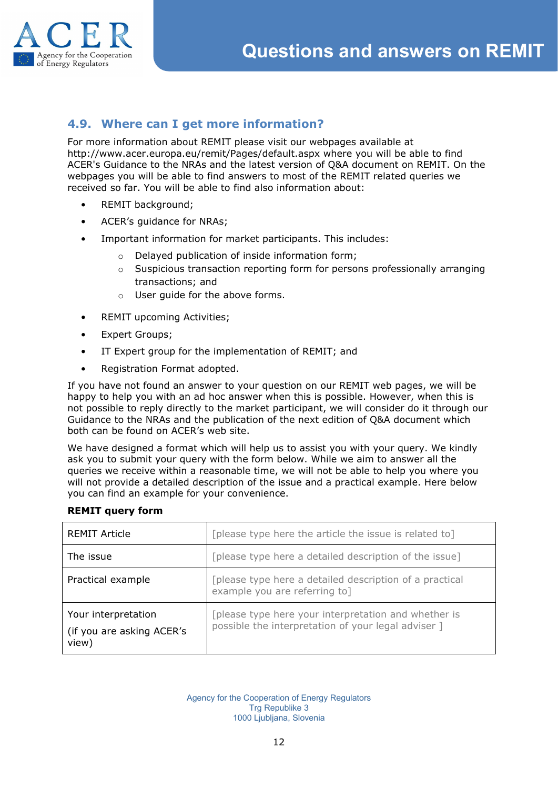<span id="page-11-0"></span>



# **4.9. Where can I get more information?**

For more information about REMIT please visit our webpages available at http://www.acer.europa.eu/remit/Pages/default.aspx where you will be able to find ACER's Guidance to the NRAs and the latest version of Q&A document on REMIT. On the webpages you will be able to find answers to most of the REMIT related queries we received so far. You will be able to find also information about:

- REMIT background;
- ACER's quidance for NRAs;
- Important information for market participants. This includes:
	- o Delayed publication of inside information form;
	- $\circ$  Suspicious transaction reporting form for persons professionally arranging transactions; and
	- o User guide for the above forms.
- REMIT upcoming Activities;
- Expert Groups;
- IT Expert group for the implementation of REMIT; and
- Registration Format adopted.

If you have not found an answer to your question on our REMIT web pages, we will be happy to help you with an ad hoc answer when this is possible. However, when this is not possible to reply directly to the market participant, we will consider do it through our Guidance to the NRAs and the publication of the next edition of Q&A document which both can be found on ACER's web site.

We have designed a format which will help us to assist you with your query. We kindly ask you to submit your query with the form below. While we aim to answer all the queries we receive within a reasonable time, we will not be able to help you where you will not provide a detailed description of the issue and a practical example. Here below you can find an example for your convenience.

| <b>REMIT Article</b>                                      | [please type here the article the issue is related to]                                                      |
|-----------------------------------------------------------|-------------------------------------------------------------------------------------------------------------|
| The issue                                                 | [please type here a detailed description of the issue]                                                      |
| Practical example                                         | [please type here a detailed description of a practical<br>example you are referring to]                    |
| Your interpretation<br>(if you are asking ACER's<br>view) | [please type here your interpretation and whether is<br>possible the interpretation of your legal adviser ] |

#### **REMIT query form**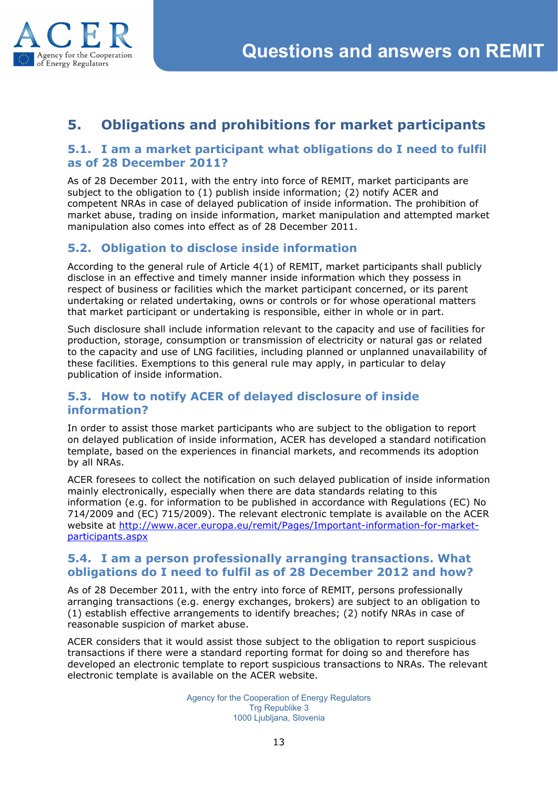

# **5. Obligations and prohibitions for market participants**

#### **5.1. I am a market participant what obligations do I need to fulfil as of 28 December 2011?**

As of 28 December 2011, with the entry into force of REMIT, market participants are subject to the obligation to (1) publish inside information; (2) notify ACER and competent NRAs in case of delayed publication of inside information. The prohibition of market abuse, trading on inside information, market manipulation and attempted market manipulation also comes into effect as of 28 December 2011.

# <span id="page-12-1"></span>**5.2. Obligation to disclose inside information**

According to the general rule of Article 4(1) of REMIT, market participants shall publicly disclose in an effective and timely manner inside information which they possess in respect of business or facilities which the market participant concerned, or its parent undertaking or related undertaking, owns or controls or for whose operational matters that market participant or undertaking is responsible, either in whole or in part.

Such disclosure shall include information relevant to the capacity and use of facilities for production, storage, consumption or transmission of electricity or natural gas or related to the capacity and use of LNG facilities, including planned or unplanned unavailability of these facilities. Exemptions to this general rule may apply, in particular to delay publication of inside information.

#### <span id="page-12-2"></span>**5.3. How to notify ACER of delayed disclosure of inside information?**

In order to assist those market participants who are subject to the obligation to report on delayed publication of inside information, ACER has developed a standard notification template, based on the experiences in financial markets, and recommends its adoption by all NRAs.

ACER foresees to collect the notification on such delayed publication of inside information mainly electronically, especially when there are data standards relating to this information (e.g. for information to be published in accordance with Regulations (EC) No 714/2009 and (EC) 715/2009). The relevant electronic template is available on the ACER website at [http://](http://www.acer.europa.eu/remit/Pages/Important-information-for-market-participants.aspx)www.acer.europa.eu/remit/Pages/Important-information-for-marketparticipants.aspx

#### **5.4. I am a person professionally arranging transactions. What obligations do I need to fulfil as of 28 December 2012 and how?**

<span id="page-12-0"></span>As of 28 December 2011, with the entry into force of REMIT, persons professionally arranging transactions (e.g. energy exchanges, brokers) are subject to an obligation to (1) establish effective arrangements to identify breaches; (2) notify NRAs in case of reasonable suspicion of market abuse.

ACER considers that it would assist those subject to the obligation to report suspicious transactions if there were a standard reporting format for doing so and therefore has developed an electronic template to report suspicious transactions to NRAs. The relevant electronic template is available on the ACER website.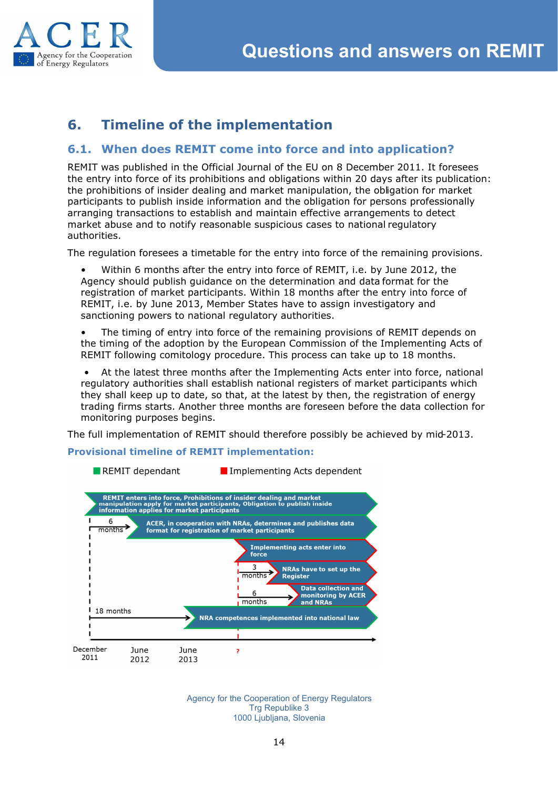

# **6. Timeline of the implementation**

#### <span id="page-13-1"></span><span id="page-13-0"></span>**6.1. When does REMIT come into force and into application?**

REMIT was published in the Official Journal of the EU on 8 December 2011. It foresees the entry into force of its prohibitions and obligations within 20 days after its publication: the prohibitions of insider dealing and market manipulation, the obligation for market participants to publish inside information and the obligation for persons professionally arranging transactions to establish and maintain effective arrangements to detect market abuse and to notify reasonable suspicious cases to national regulatory authorities.

The regulation foresees a timetable for the entry into force of the remaining provisions.

• Within 6 months after the entry into force of REMIT, i.e. by June 2012, the Agency should publish guidance on the determination and data format for the registration of market participants. Within 18 months after the entry into force of REMIT, i.e. by June 2013, Member States have to assign investigatory and sanctioning powers to national regulatory authorities.

• The timing of entry into force of the remaining provisions of REMIT depends on the timing of the adoption by the European Commission of the Implementing Acts of REMIT following comitology procedure. This process can take up to 18 months.

• At the latest three months after the Implementing Acts enter into force, national regulatory authorities shall establish national registers of market participants which they shall keep up to date, so that, at the latest by then, the registration of energy trading firms starts. Another three months are foreseen before the data collection for monitoring purposes begins.

The full implementation of REMIT should therefore possibly be achieved by mid-2013.

**Provisional timeline of REMIT implementation:**



<span id="page-13-2"></span>REMIT dependant Implementing Acts dependent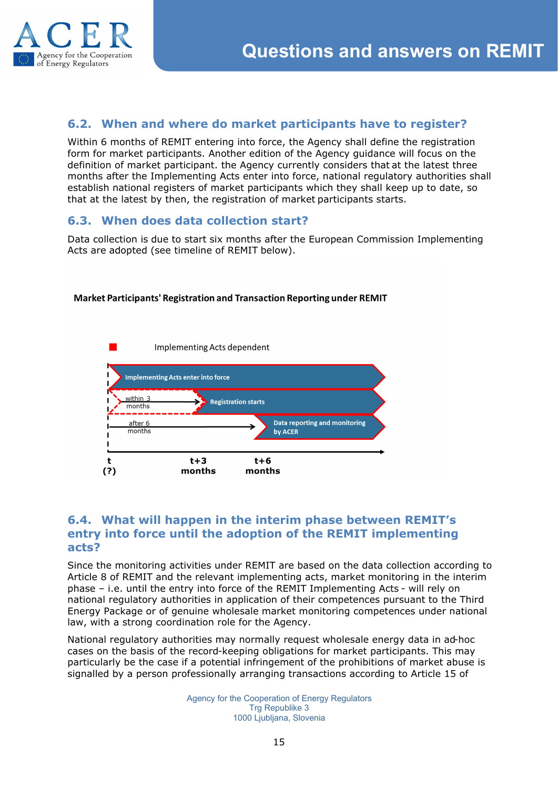

#### <span id="page-14-0"></span>**6.2. When and where do market participants have to register?**

Within 6 months of REMIT entering into force, the Agency shall define the registration form for market participants. Another edition of the Agency guidance will focus on the definition of market participant. the Agency currently considers that at the latest three months after the Implementing Acts enter into force, national regulatory authorities shall establish national registers of market participants which they shall keep up to date, so that at the latest by then, the registration of market participants starts.

#### <span id="page-14-1"></span>**6.3. When does data collection start?**

Data collection is due to start six months after the European Commission Implementing Acts are adopted (see timeline of REMIT below).

#### Market Participants' Registration and Transaction Reporting under REMIT



#### **6.4. What will happen in the interim phase between REMIT's entry into force until the adoption of the REMIT implementing acts?**

Since the monitoring activities under REMIT are based on the data collection according to Article 8 of REMIT and the relevant implementing acts, market monitoring in the interim phase – i.e. until the entry into force of the REMIT Implementing Acts - will rely on national regulatory authorities in application of their competences pursuant to the Third Energy Package or of genuine wholesale market monitoring competences under national law, with a strong coordination role for the Agency.

National regulatory authorities may normally request wholesale energy data in ad-hoc cases on the basis of the record-keeping obligations for market participants. This may particularly be the case if a potential infringement of the prohibitions of market abuse is signalled by a person professionally arranging transactions according to Article 15 of